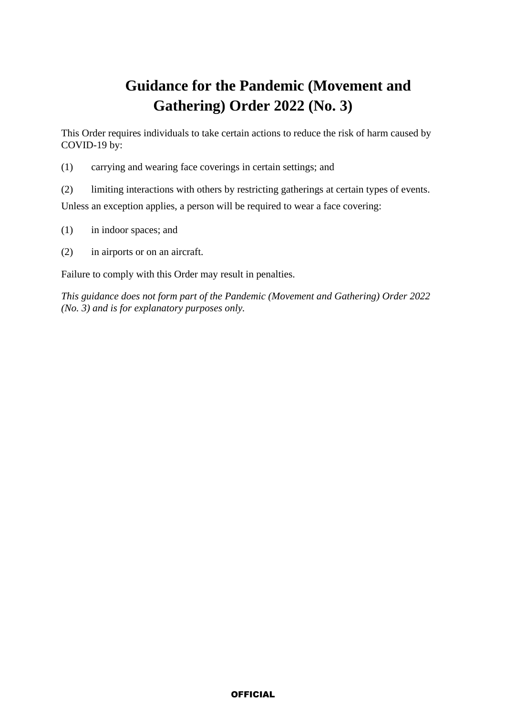# **Guidance for the Pandemic (Movement and Gathering) Order 2022 (No. 3)**

This Order requires individuals to take certain actions to reduce the risk of harm caused by COVID-19 by:

(1) carrying and wearing face coverings in certain settings; and

(2) limiting interactions with others by restricting gatherings at certain types of events. Unless an exception applies, a person will be required to wear a face covering:

- (1) in indoor spaces; and
- (2) in airports or on an aircraft.

Failure to comply with this Order may result in penalties.

*This guidance does not form part of the Pandemic (Movement and Gathering) Order 2022 (No. 3) and is for explanatory purposes only.*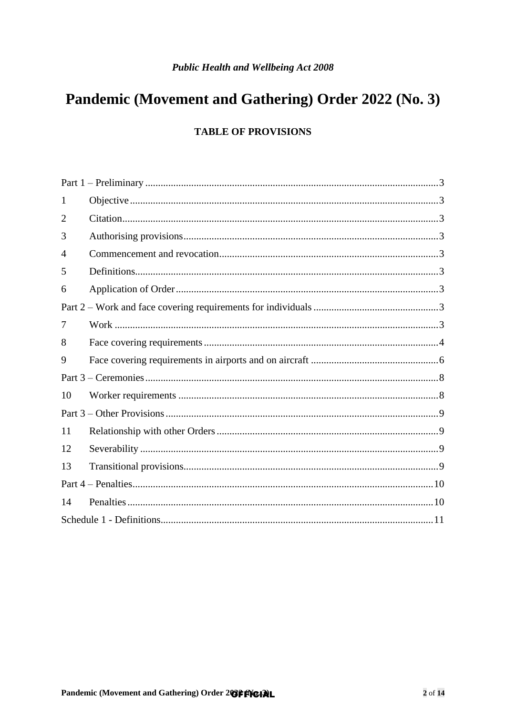# Pandemic (Movement and Gathering) Order 2022 (No. 3)

### **TABLE OF PROVISIONS**

| 1              |  |  |
|----------------|--|--|
| $\overline{2}$ |  |  |
| 3              |  |  |
| 4              |  |  |
| 5              |  |  |
| 6              |  |  |
|                |  |  |
| 7              |  |  |
| 8              |  |  |
| 9              |  |  |
|                |  |  |
| 10             |  |  |
|                |  |  |
| 11             |  |  |
| 12             |  |  |
| 13             |  |  |
|                |  |  |
| 14             |  |  |
|                |  |  |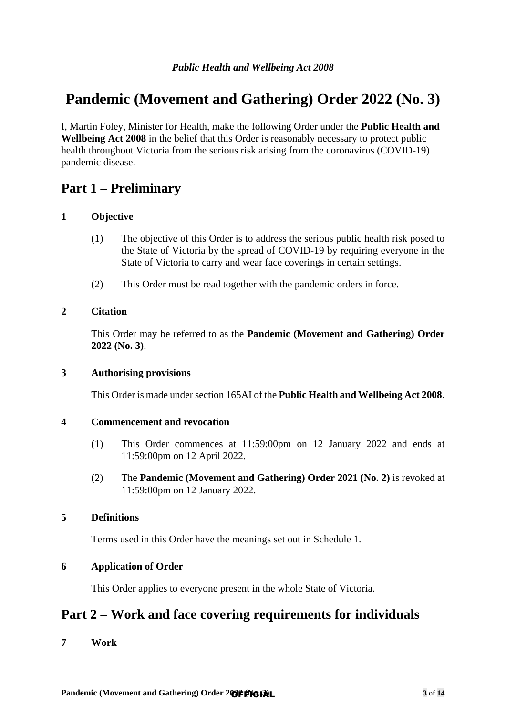# **Pandemic (Movement and Gathering) Order 2022 (No. 3)**

I, Martin Foley, Minister for Health, make the following Order under the **Public Health and Wellbeing Act 2008** in the belief that this Order is reasonably necessary to protect public health throughout Victoria from the serious risk arising from the coronavirus (COVID-19) pandemic disease.

## <span id="page-2-0"></span>**Part 1 – Preliminary**

### <span id="page-2-1"></span>**1 Objective**

- (1) The objective of this Order is to address the serious public health risk posed to the State of Victoria by the spread of COVID-19 by requiring everyone in the State of Victoria to carry and wear face coverings in certain settings.
- (2) This Order must be read together with the pandemic orders in force.

### <span id="page-2-2"></span>**2 Citation**

This Order may be referred to as the **Pandemic (Movement and Gathering) Order 2022 (No. 3)**.

### <span id="page-2-3"></span>**3 Authorising provisions**

This Order is made under section 165AI of the **Public Health and Wellbeing Act 2008**.

### <span id="page-2-4"></span>**4 Commencement and revocation**

- (1) This Order commences at 11:59:00pm on 12 January 2022 and ends at 11:59:00pm on 12 April 2022.
- (2) The **Pandemic (Movement and Gathering) Order 2021 (No. 2)** is revoked at 11:59:00pm on 12 January 2022.

### <span id="page-2-5"></span>**5 Definitions**

Terms used in this Order have the meanings set out in Schedule 1.

### <span id="page-2-6"></span>**6 Application of Order**

This Order applies to everyone present in the whole State of Victoria.

## <span id="page-2-7"></span>**Part 2 – Work and face covering requirements for individuals**

<span id="page-2-8"></span>**7 Work**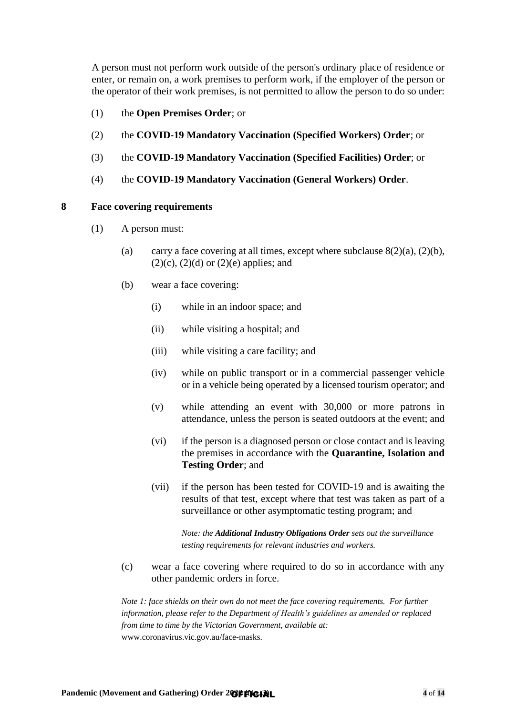A person must not perform work outside of the person's ordinary place of residence or enter, or remain on, a work premises to perform work, if the employer of the person or the operator of their work premises, is not permitted to allow the person to do so under:

- (1) the **Open Premises Order**; or
- (2) the **COVID-19 Mandatory Vaccination (Specified Workers) Order**; or
- (3) the **COVID-19 Mandatory Vaccination (Specified Facilities) Order**; or
- (4) the **COVID-19 Mandatory Vaccination (General Workers) Order**.

#### <span id="page-3-0"></span>**8 Face covering requirements**

- <span id="page-3-1"></span>(1) A person must:
	- (a) carry a face covering at all times, except where subclause  $8(2)(a)$ ,  $(2)(b)$ ,  $(2)(c)$ ,  $(2)(d)$  or  $(2)(e)$  applies; and
	- (b) wear a face covering:
		- (i) while in an indoor space; and
		- (ii) while visiting a hospital; and
		- (iii) while visiting a care facility; and
		- (iv) while on public transport or in a commercial passenger vehicle or in a vehicle being operated by a licensed tourism operator; and
		- (v) while attending an event with 30,000 or more patrons in attendance, unless the person is seated outdoors at the event; and
		- (vi) if the person is a diagnosed person or close contact and is leaving the premises in accordance with the **Quarantine, Isolation and Testing Order**; and
		- (vii) if the person has been tested for COVID-19 and is awaiting the results of that test, except where that test was taken as part of a surveillance or other asymptomatic testing program; and

*Note: the Additional Industry Obligations Order sets out the surveillance testing requirements for relevant industries and workers.*

<span id="page-3-2"></span>(c) wear a face covering where required to do so in accordance with any other pandemic orders in force.

*Note 1: face shields on their own do not meet the face covering requirements. For further information, please refer to the Department of Health's guidelines as amended or replaced from time to time by the Victorian Government, available at:*  [www.coronavirus.vic.gov.au/face-masks.](http://www.coronavirus.vic.gov.au/face-masks)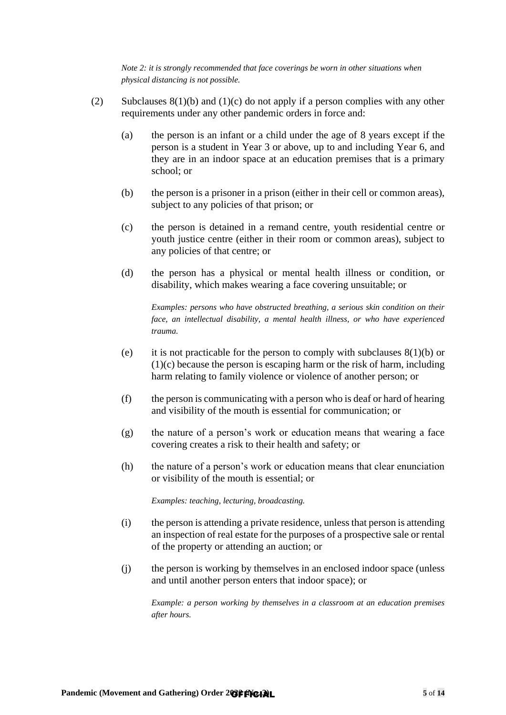*Note 2: it is strongly recommended that face coverings be worn in other situations when physical distancing is not possible.*

- <span id="page-4-2"></span><span id="page-4-1"></span><span id="page-4-0"></span>(2) Subclauses  $8(1)(b)$  and  $(1)(c)$  do not apply if a person complies with any other requirements under any other pandemic orders in force and:
	- (a) the person is an infant or a child under the age of 8 years except if the person is a student in Year 3 or above, up to and including Year 6, and they are in an indoor space at an education premises that is a primary school; or
	- (b) the person is a prisoner in a prison (either in their cell or common areas), subject to any policies of that prison; or
	- (c) the person is detained in a remand centre, youth residential centre or youth justice centre (either in their room or common areas), subject to any policies of that centre; or
	- (d) the person has a physical or mental health illness or condition, or disability, which makes wearing a face covering unsuitable; or

<span id="page-4-3"></span>*Examples: persons who have obstructed breathing, a serious skin condition on their face, an intellectual disability, a mental health illness, or who have experienced trauma.*

- <span id="page-4-4"></span>(e) it is not practicable for the person to comply with subclauses  $8(1)(b)$  or [\(1\)\(c\)](#page-3-2) because the person is escaping harm or the risk of harm, including harm relating to family violence or violence of another person; or
- (f) the person is communicating with a person who is deaf or hard of hearing and visibility of the mouth is essential for communication; or
- (g) the nature of a person's work or education means that wearing a face covering creates a risk to their health and safety; or
- (h) the nature of a person's work or education means that clear enunciation or visibility of the mouth is essential; or

*Examples: teaching, lecturing, broadcasting.*

- (i) the person is attending a private residence, unless that person is attending an inspection of real estate for the purposes of a prospective sale or rental of the property or attending an auction; or
- (j) the person is working by themselves in an enclosed indoor space (unless and until another person enters that indoor space); or

*Example: a person working by themselves in a classroom at an education premises after hours.*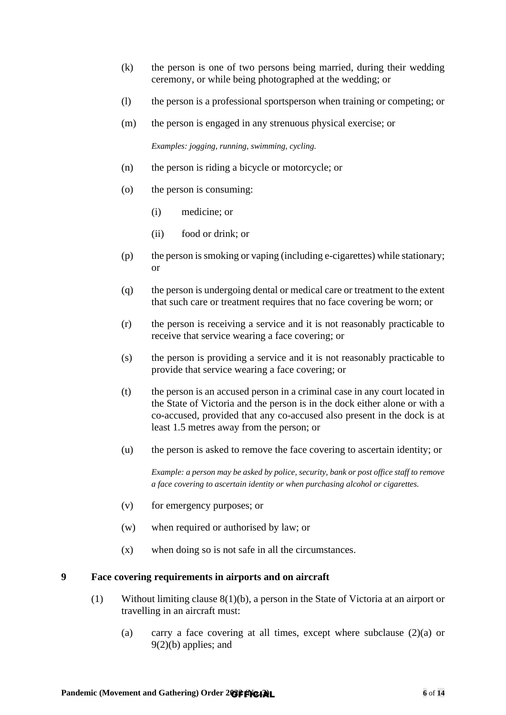- (k) the person is one of two persons being married, during their wedding ceremony, or while being photographed at the wedding; or
- (l) the person is a professional sportsperson when training or competing; or
- (m) the person is engaged in any strenuous physical exercise; or

*Examples: jogging, running, swimming, cycling.*

- (n) the person is riding a bicycle or motorcycle; or
- (o) the person is consuming:
	- (i) medicine; or
	- (ii) food or drink; or
- (p) the person is smoking or vaping (including e-cigarettes) while stationary; or
- (q) the person is undergoing dental or medical care or treatment to the extent that such care or treatment requires that no face covering be worn; or
- (r) the person is receiving a service and it is not reasonably practicable to receive that service wearing a face covering; or
- (s) the person is providing a service and it is not reasonably practicable to provide that service wearing a face covering; or
- (t) the person is an accused person in a criminal case in any court located in the State of Victoria and the person is in the dock either alone or with a co-accused, provided that any co-accused also present in the dock is at least 1.5 metres away from the person; or
- (u) the person is asked to remove the face covering to ascertain identity; or

*Example: a person may be asked by police, security, bank or post office staff to remove a face covering to ascertain identity or when purchasing alcohol or cigarettes.*

- (v) for emergency purposes; or
- (w) when required or authorised by law; or
- (x) when doing so is not safe in all the circumstances.

### <span id="page-5-1"></span><span id="page-5-0"></span>**9 Face covering requirements in airports and on aircraft**

- (1) Without limiting clause [8\(1\)\(b\),](#page-3-1) a person in the State of Victoria at an airport or travelling in an aircraft must:
	- (a) carry a face covering at all times, except where subclause [\(2\)\(a\)](#page-6-0) or [9\(2\)\(b\)](#page-6-1) applies; and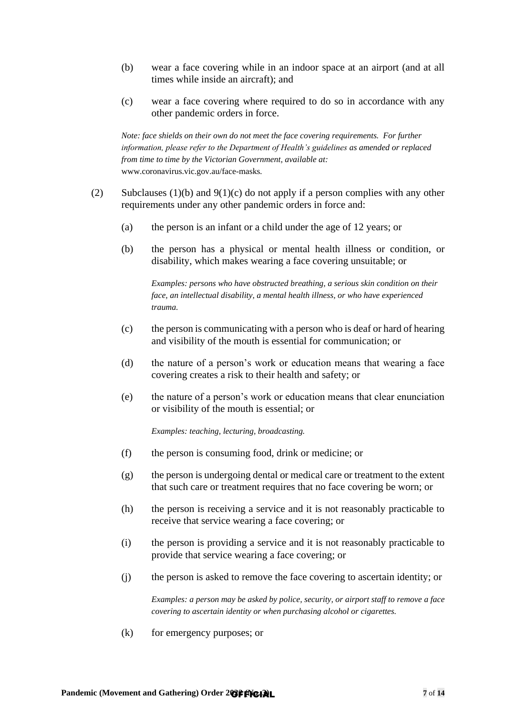- <span id="page-6-2"></span>(b) wear a face covering while in an indoor space at an airport (and at all times while inside an aircraft); and
- <span id="page-6-3"></span>(c) wear a face covering where required to do so in accordance with any other pandemic orders in force.

*Note: face shields on their own do not meet the face covering requirements. For further information, please refer to the Department of Health's guidelines as amended or replaced from time to time by the Victorian Government, available at:*  [www.coronavirus.vic.gov.au/face-masks](http://www.coronavirus.vic.gov.au/face-masks)*.*

- <span id="page-6-4"></span><span id="page-6-1"></span><span id="page-6-0"></span>(2) Subclauses [\(1\)\(b\)](#page-6-2) and  $9(1)(c)$  do not apply if a person complies with any other requirements under any other pandemic orders in force and:
	- (a) the person is an infant or a child under the age of 12 years; or
	- (b) the person has a physical or mental health illness or condition, or disability, which makes wearing a face covering unsuitable; or

*Examples: persons who have obstructed breathing, a serious skin condition on their face, an intellectual disability, a mental health illness, or who have experienced trauma.*

- (c) the person is communicating with a person who is deaf or hard of hearing and visibility of the mouth is essential for communication; or
- (d) the nature of a person's work or education means that wearing a face covering creates a risk to their health and safety; or
- (e) the nature of a person's work or education means that clear enunciation or visibility of the mouth is essential; or

*Examples: teaching, lecturing, broadcasting.*

- (f) the person is consuming food, drink or medicine; or
- (g) the person is undergoing dental or medical care or treatment to the extent that such care or treatment requires that no face covering be worn; or
- (h) the person is receiving a service and it is not reasonably practicable to receive that service wearing a face covering; or
- (i) the person is providing a service and it is not reasonably practicable to provide that service wearing a face covering; or
- (j) the person is asked to remove the face covering to ascertain identity; or

*Examples: a person may be asked by police, security, or airport staff to remove a face covering to ascertain identity or when purchasing alcohol or cigarettes.*

(k) for emergency purposes; or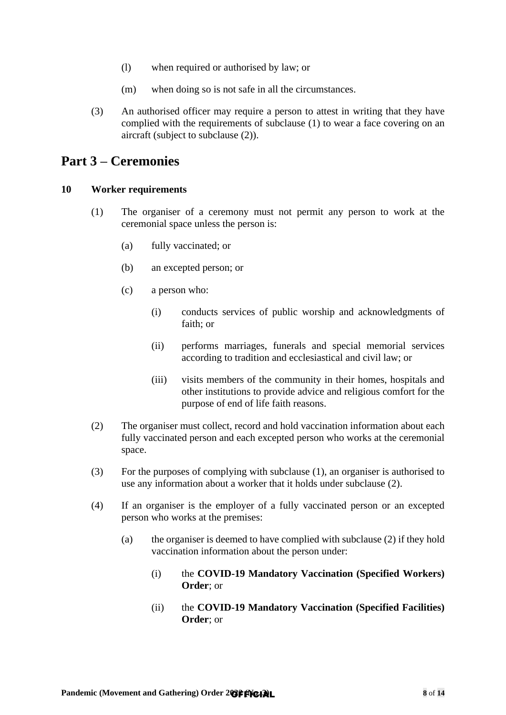- (l) when required or authorised by law; or
- (m) when doing so is not safe in all the circumstances.
- (3) An authorised officer may require a person to attest in writing that they have complied with the requirements of subclause [\(1\)](#page-5-1) to wear a face covering on an aircraft (subject to subclause [\(2\)\)](#page-6-4).

### <span id="page-7-0"></span>**Part 3 – Ceremonies**

### <span id="page-7-2"></span><span id="page-7-1"></span>**10 Worker requirements**

- (1) The organiser of a ceremony must not permit any person to work at the ceremonial space unless the person is:
	- (a) fully vaccinated; or
	- (b) an excepted person; or
	- (c) a person who:
		- (i) conducts services of public worship and acknowledgments of faith; or
		- (ii) performs marriages, funerals and special memorial services according to tradition and ecclesiastical and civil law; or
		- (iii) visits members of the community in their homes, hospitals and other institutions to provide advice and religious comfort for the purpose of end of life faith reasons.
- <span id="page-7-3"></span>(2) The organiser must collect, record and hold vaccination information about each fully vaccinated person and each excepted person who works at the ceremonial space.
- (3) For the purposes of complying with subclause [\(1\),](#page-7-2) an organiser is authorised to use any information about a worker that it holds under subclause [\(2\).](#page-7-3)
- (4) If an organiser is the employer of a fully vaccinated person or an excepted person who works at the premises:
	- (a) the organiser is deemed to have complied with subclause [\(2\)](#page-7-3) if they hold vaccination information about the person under:
		- (i) the **COVID-19 Mandatory Vaccination (Specified Workers) Order**; or
		- (ii) the **COVID-19 Mandatory Vaccination (Specified Facilities) Order**; or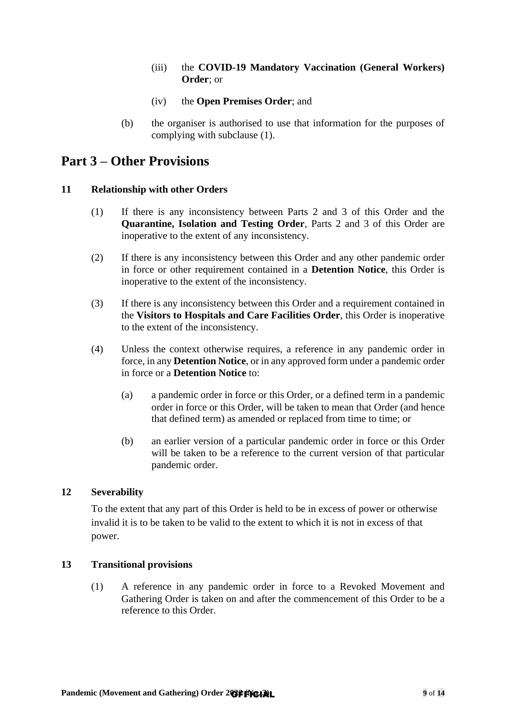- (iii) the **COVID-19 Mandatory Vaccination (General Workers) Order**; or
- (iv) the **Open Premises Order**; and
- (b) the organiser is authorised to use that information for the purposes of complying with subclause [\(1\).](#page-7-2)

### <span id="page-8-0"></span>**Part 3 – Other Provisions**

### <span id="page-8-1"></span>**11 Relationship with other Orders**

- (1) If there is any inconsistency between Parts 2 and 3 of this Order and the **Quarantine, Isolation and Testing Order**, Parts 2 and 3 of this Order are inoperative to the extent of any inconsistency.
- (2) If there is any inconsistency between this Order and any other pandemic order in force or other requirement contained in a **Detention Notice**, this Order is inoperative to the extent of the inconsistency.
- (3) If there is any inconsistency between this Order and a requirement contained in the **Visitors to Hospitals and Care Facilities Order**, this Order is inoperative to the extent of the inconsistency.
- (4) Unless the context otherwise requires, a reference in any pandemic order in force, in any **Detention Notice**, or in any approved form under a pandemic order in force or a **Detention Notice** to:
	- (a) a pandemic order in force or this Order, or a defined term in a pandemic order in force or this Order, will be taken to mean that Order (and hence that defined term) as amended or replaced from time to time; or
	- (b) an earlier version of a particular pandemic order in force or this Order will be taken to be a reference to the current version of that particular pandemic order.

### <span id="page-8-2"></span>**12 Severability**

To the extent that any part of this Order is held to be in excess of power or otherwise invalid it is to be taken to be valid to the extent to which it is not in excess of that power.

### <span id="page-8-3"></span>**13 Transitional provisions**

(1) A reference in any pandemic order in force to a Revoked Movement and Gathering Order is taken on and after the commencement of this Order to be a reference to this Order.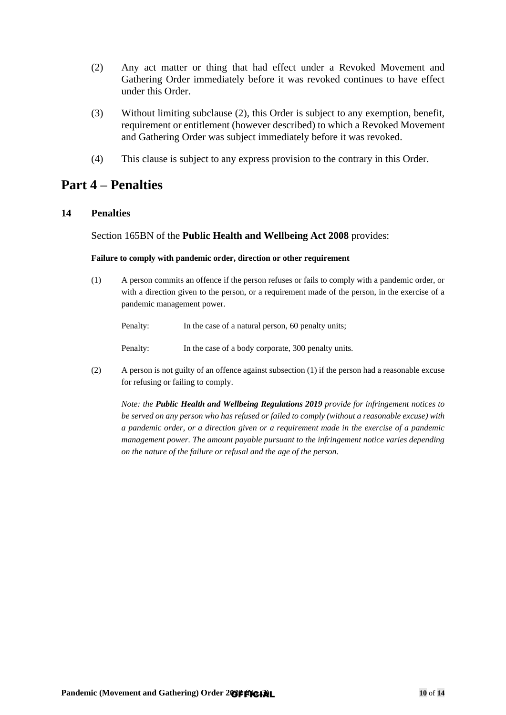- <span id="page-9-2"></span>(2) Any act matter or thing that had effect under a Revoked Movement and Gathering Order immediately before it was revoked continues to have effect under this Order.
- (3) Without limiting subclause [\(2\),](#page-9-2) this Order is subject to any exemption, benefit, requirement or entitlement (however described) to which a Revoked Movement and Gathering Order was subject immediately before it was revoked.
- (4) This clause is subject to any express provision to the contrary in this Order.

## <span id="page-9-0"></span>**Part 4 – Penalties**

### <span id="page-9-1"></span>**14 Penalties**

### Section 165BN of the **Public Health and Wellbeing Act 2008** provides:

### **Failure to comply with pandemic order, direction or other requirement**

(1) A person commits an offence if the person refuses or fails to comply with a pandemic order, or with a direction given to the person, or a requirement made of the person, in the exercise of a pandemic management power.

Penalty: In the case of a natural person, 60 penalty units;

Penalty: In the case of a body corporate, 300 penalty units.

(2) A person is not guilty of an offence against subsection (1) if the person had a reasonable excuse for refusing or failing to comply.

*Note: the Public Health and Wellbeing Regulations 2019 provide for infringement notices to be served on any person who has refused or failed to comply (without a reasonable excuse) with a pandemic order, or a direction given or a requirement made in the exercise of a pandemic management power. The amount payable pursuant to the infringement notice varies depending on the nature of the failure or refusal and the age of the person.*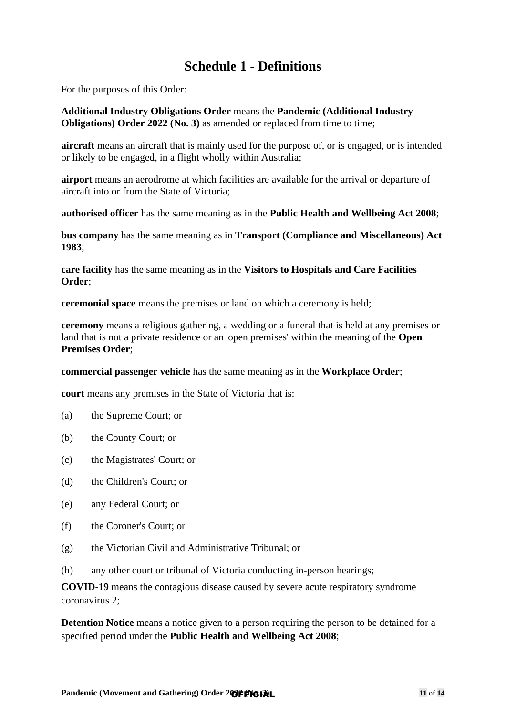# **Schedule 1 - Definitions**

<span id="page-10-0"></span>For the purposes of this Order:

**Additional Industry Obligations Order** means the **Pandemic (Additional Industry Obligations) Order 2022 (No. 3) as amended or replaced from time to time;** 

**aircraft** means an aircraft that is mainly used for the purpose of, or is engaged, or is intended or likely to be engaged, in a flight wholly within Australia;

**airport** means an aerodrome at which facilities are available for the arrival or departure of aircraft into or from the State of Victoria;

**authorised officer** has the same meaning as in the **Public Health and Wellbeing Act 2008**;

**bus company** has the same meaning as in **Transport (Compliance and Miscellaneous) Act 1983**;

**care facility** has the same meaning as in the **Visitors to Hospitals and Care Facilities Order**;

**ceremonial space** means the premises or land on which a ceremony is held;

**ceremony** means a religious gathering, a wedding or a funeral that is held at any premises or land that is not a private residence or an 'open premises' within the meaning of the **Open Premises Order**;

**commercial passenger vehicle** has the same meaning as in the **Workplace Order**;

**court** means any premises in the State of Victoria that is:

- (a) the Supreme Court; or
- (b) the County Court; or
- (c) the Magistrates' Court; or
- (d) the Children's Court; or
- (e) any Federal Court; or
- (f) the Coroner's Court; or
- (g) the Victorian Civil and Administrative Tribunal; or
- (h) any other court or tribunal of Victoria conducting in-person hearings;

**COVID-19** means the contagious disease caused by severe acute respiratory syndrome coronavirus 2;

**Detention Notice** means a notice given to a person requiring the person to be detained for a specified period under the **Public Health and Wellbeing Act 2008**;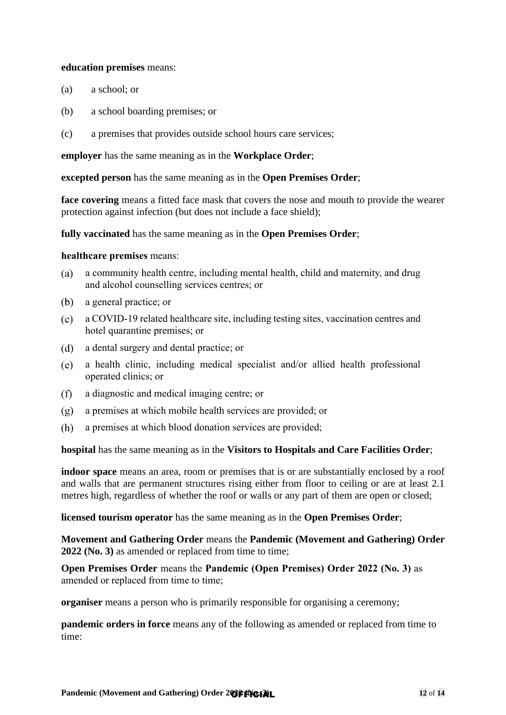### **education premises** means:

- (a) a school; or
- (b) a school boarding premises; or
- (c) a premises that provides outside school hours care services;

**employer** has the same meaning as in the **Workplace Order**;

**excepted person** has the same meaning as in the **Open Premises Order**;

**face covering** means a fitted face mask that covers the nose and mouth to provide the wearer protection against infection (but does not include a face shield);

**fully vaccinated** has the same meaning as in the **Open Premises Order**;

### **healthcare premises** means:

- $(a)$ a community health centre, including mental health, child and maternity, and drug and alcohol counselling services centres; or
- $(b)$ a general practice; or
- a COVID-19 related healthcare site, including testing sites, vaccination centres and hotel quarantine premises; or
- $(d)$ a dental surgery and dental practice; or
- $(e)$ a health clinic, including medical specialist and/or allied health professional operated clinics; or
- $(f)$ a diagnostic and medical imaging centre; or
- a premises at which mobile health services are provided; or  $(g)$
- a premises at which blood donation services are provided; (h)

**hospital** has the same meaning as in the **Visitors to Hospitals and Care Facilities Order**;

**indoor space** means an area, room or premises that is or are substantially enclosed by a roof and walls that are permanent structures rising either from floor to ceiling or are at least 2.1 metres high, regardless of whether the roof or walls or any part of them are open or closed;

**licensed tourism operator** has the same meaning as in the **Open Premises Order**;

**Movement and Gathering Order** means the **Pandemic (Movement and Gathering) Order 2022 (No. 3)** as amended or replaced from time to time;

**Open Premises Order** means the **Pandemic (Open Premises) Order 2022 (No. 3)** as amended or replaced from time to time;

**organiser** means a person who is primarily responsible for organising a ceremony;

**pandemic orders in force** means any of the following as amended or replaced from time to time: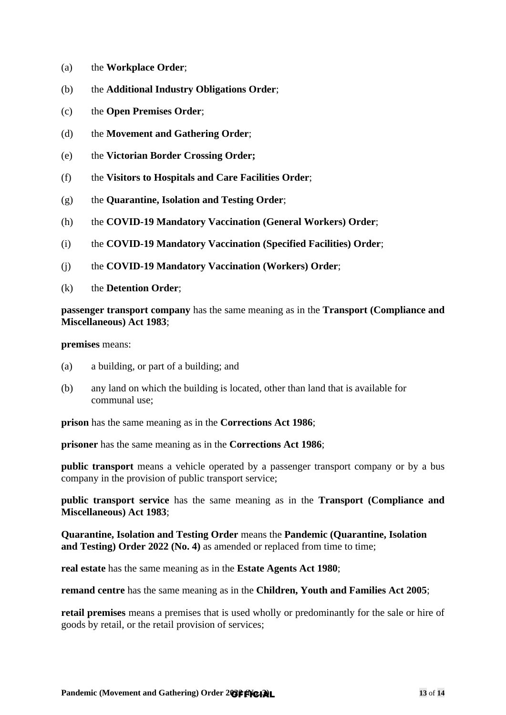- (a) the **Workplace Order**;
- (b) the **Additional Industry Obligations Order**;
- (c) the **Open Premises Order**;
- (d) the **Movement and Gathering Order**;
- (e) the **Victorian Border Crossing Order;**
- (f) the **Visitors to Hospitals and Care Facilities Order**;
- (g) the **Quarantine, Isolation and Testing Order**;
- (h) the **COVID-19 Mandatory Vaccination (General Workers) Order**;
- (i) the **COVID-19 Mandatory Vaccination (Specified Facilities) Order**;
- (j) the **COVID-19 Mandatory Vaccination (Workers) Order**;
- (k) the **Detention Order**;

**passenger transport company** has the same meaning as in the **Transport (Compliance and Miscellaneous) Act 1983**;

**premises** means:

- (a) a building, or part of a building; and
- (b) any land on which the building is located, other than land that is available for communal use;

**prison** has the same meaning as in the **Corrections Act 1986**;

**prisoner** has the same meaning as in the **Corrections Act 1986**;

**public transport** means a vehicle operated by a passenger transport company or by a bus company in the provision of public transport service;

**public transport service** has the same meaning as in the **Transport (Compliance and Miscellaneous) Act 1983**;

**Quarantine, Isolation and Testing Order** means the **Pandemic (Quarantine, Isolation and Testing) Order 2022 (No. 4)** as amended or replaced from time to time;

**real estate** has the same meaning as in the **Estate Agents Act 1980**;

**remand centre** has the same meaning as in the **Children, Youth and Families Act 2005**;

**retail premises** means a premises that is used wholly or predominantly for the sale or hire of goods by retail, or the retail provision of services;